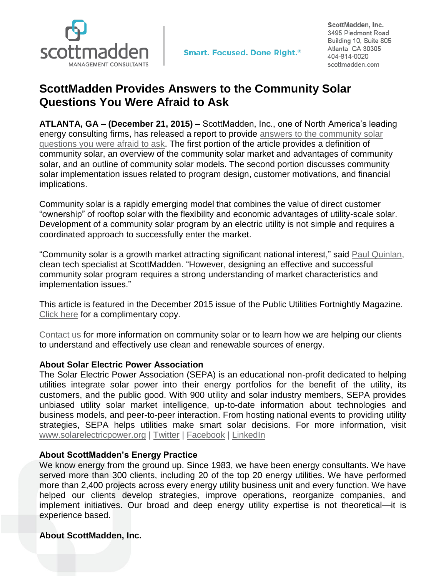

ScottMadden, Inc. 3495 Piedmont Road Building 10, Suite 805 Atlanta, GA 30305 404-814-0020 scottmadden.com

## **ScottMadden Provides Answers to the Community Solar Questions You Were Afraid to Ask**

**ATLANTA, GA – (December 21, 2015) –** ScottMadden, Inc., one of North America's leading energy consulting firms, has released a report to provide [answers to the community solar](http://www.scottmadden.com/insight/1010/answers-to-the-community-solar-questions-youre-too-afraid-to-ask.html)  [questions you were](http://www.scottmadden.com/insight/1010/answers-to-the-community-solar-questions-youre-too-afraid-to-ask.html) afraid to ask. The first portion of the article provides a definition of community solar, an overview of the community solar market and advantages of community solar, and an outline of community solar models. The second portion discusses community solar implementation issues related to program design, customer motivations, and financial implications.

Community solar is a rapidly emerging model that combines the value of direct customer "ownership" of rooftop solar with the flexibility and economic advantages of utility-scale solar. Development of a community solar program by an electric utility is not simple and requires a coordinated approach to successfully enter the market.

"Community solar is a growth market attracting significant national interest," said [Paul Quinlan,](http://www.scottmadden.com/bios/1260/paul-quinlan.html) clean tech specialist at ScottMadden. "However, designing an effective and successful community solar program requires a strong understanding of market characteristics and implementation issues."

This article is featured in the December 2015 issue of the Public Utilities Fortnightly Magazine. [Click here](http://www.scottmadden.com/insight/1010/answers-to-the-community-solar-questions-youre-too-afraid-to-ask.html) for a complimentary copy.

[Contact us](http://www.scottmadden.com/page/17/contact-us.html) for more information on community solar or to learn how we are helping our clients to understand and effectively use clean and renewable sources of energy.

## **About Solar Electric Power Association**

The Solar Electric Power Association (SEPA) is an educational non-profit dedicated to helping utilities integrate solar power into their energy portfolios for the benefit of the utility, its customers, and the public good. With 900 utility and solar industry members, SEPA provides unbiased utility solar market intelligence, up-to-date information about technologies and business models, and peer-to-peer interaction. From hosting national events to providing utility strategies, SEPA helps utilities make smart solar decisions. For more information, visit [www.solarelectricpower.org](http://www.solarelectricpower.org/) | [Twitter](https://twitter.com/UtilitySolar) | [Facebook](https://www.facebook.com/pages/Solar-Electric-Power-Association/108221755934336) | [LinkedIn](https://www.linkedin.com/company/solar-electric-power-association)

## **About ScottMadden's Energy Practice**

We know energy from the ground up. Since 1983, we have been energy consultants. We have served more than 300 clients, including 20 of the top 20 energy utilities. We have performed more than 2,400 projects across every energy utility business unit and every function. We have helped our clients develop strategies, improve operations, reorganize companies, and implement initiatives. Our broad and deep energy utility expertise is not theoretical—it is experience based.

## **About ScottMadden, Inc.**